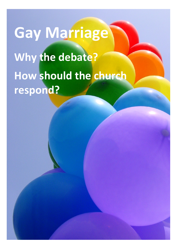# **Gay Marriage Why the debate? How should the church respond?**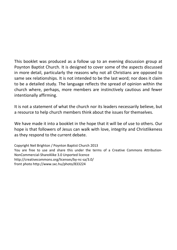This booklet was produced as a follow up to an evening discussion group at Poynton Baptist Church. It is designed to cover some of the aspects discussed in more detail, particularly the reasons why not all Christians are opposed to same sex relationships. It is not intended to be the last word; nor does it claim to be a detailed study. The language reflects the spread of opinion within the church where, perhaps, more members are instinctively cautious and fewer intentionally affirming.

It is not a statement of what the church nor its leaders necessarily believe, but a resource to help church members think about the issues for themselves.

We have made it into a booklet in the hope that it will be of use to others. Our hope is that followers of Jesus can walk with love, integrity and Christlikeness as they respond to the current debate.

Copyright Neil Brighton / Poynton Baptist Church 2013 You are free to use and share this under the terms of a Creative Commons Attribution-NonCommercial-ShareAlike 3.0 Unported licence http://creativecommons.org/licenses/by-nc-sa/3.0/ front photo http://www.sxc.hu/photo/833224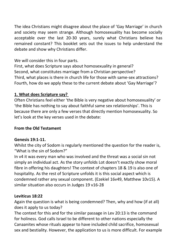The idea Christians might disagree about the place of 'Gay Marriage' in church and society may seem strange. Although homosexuality has become socially acceptable over the last 20-30 years, surely what Christians believe has remained constant? This booklet sets out the issues to help understand the debate and show why Christians differ.

# We will consider this in four parts.

First, what does Scripture says about homosexuality in general? Second, what constitutes marriage from a Christian perspective? Third, what places is there in church life for those with same-sex attractions? Fourth, how do we apply these to the current debate about 'Gay Marriage'?

# **1. What does Scripture say?**

Often Christians feel either 'the Bible is very negative about homosexuality' or 'the Bible has nothing to say about faithful same sex relationships'. This is because there are only a few verses that directly mention homosexuality. So let's look at the key verses used in the debate:

# **From the Old Testament**

# **Genesis 19:1-11.**

Whilst the city of Sodom is regularly mentioned the question for the reader is, "What is the sin of Sodom?"

In v4 it was every man who was involved and the threat was a social sin not simply an individual act. As the story unfolds Lot doesn't exactly show moral fibre in offering his daughters! The context of chapters 18 & 19 is also one of hospitality. As the rest of Scripture unfolds it is this social aspect which is condemned rather any sexual component. (Ezekiel 16v49, Matthew 10v15). A similar situation also occurs in Judges 19 v16-28

# **Leviticus 18:22**

Again the question is what is being condemned? Then, why and how (if at all) does it apply to us today?

The context for this and for the similar passage in Lev 20:13 is the command for holiness. God calls Israel to be different to other nations especially the Canaanites whose rituals appear to have included child sacrifice, homosexual sex and bestiality. However, the application to us is more difficult. For example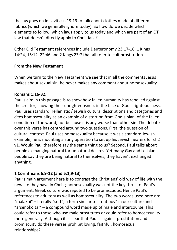the law goes on in Leviticus 19:19 to talk about clothes made of different fabrics (which we generally ignore today). So how do we decide which elements to follow, which laws apply to us today and which are part of an OT law that doesn't directly apply to Christians?

Other Old Testament references include Deuteronomy 23:17-18, 1 Kings 14:24, 15:12, 22:46 and 2 Kings 23:7 that all refer to cult prostitution.

#### **From the New Testament**

When we turn to the New Testament we see that in all the comments Jesus makes about sexual sin, he never makes any comment about homosexuality.

#### **Romans 1:16-32.**

Paul's aim in this passage is to show how fallen humanity has rebelled against the creator; showing their unrighteousness in the face of God's righteousness. Paul uses standard Hellenistic / Jewish cultural descriptions and categories and cites homosexuality as an example of distortion from God's plan, of the fallen condition of the world; not because it is any worse than other sin. The debate over this verse has centred around two questions. First, the question of cultural context. Paul uses homosexuality because it was a standard Jewish example, he is mounting a sting operation to set up his Jewish hearers for ch2 v1. Would Paul therefore say the same thing to us? Second, Paul talks about people exchanging natural for unnatural desires. Yet many Gay and Lesbian people say they are being natural to themselves, they haven't exchanged anything.

# **1 Corinthians 6:9-12 (and 5:1,9-13)**

Paul's main argument here is to contrast the Christians' old way of life with the new life they have in Christ; homosexuality was not the key thrust of Paul's argument. Greek culture was reputed to be promiscuous. Hence Paul's references to adultery as well as homosexuality. The two words used here are "malakoi" – literally "soft", a term similar to "rent boy" in our culture and "arsenokoitai" – a compound word made up of male and intercourse. This could refer to those who use male prostitutes or could refer to homosexuality more generally. Although it is clear that Paul is against prostitution and promiscuity do these verses prohibit loving, faithful, homosexual relationships?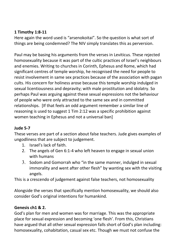# **1 Timothy 1:8-11**

Here again the word used is "arsenokoitai". So the question is what sort of things are being condemned? The NIV simply translates this as perversion.

Paul may be basing his arguments from the verses in Leviticus. These rejected homosexuality because it was part of the cultic practices of Israel's neighbours and enemies. Writing to churches in Corinth, Ephesus and Rome, which had significant centres of temple worship, he recognised the need for people to resist involvement in same sex practices because of the association with pagan cults. His concern for holiness arose because this temple worship indulged in sexual licentiousness and depravity; with male prostitution and idolatry. So perhaps Paul was arguing against these sexual expressions not the behaviour of people who were only attracted to the same sex and in committed relationships. [If that feels an odd argument remember a similar line of reasoning is used to suggest 1 Tim 2:12 was a specific prohibition against women teaching in Ephesus and not a universal ban]

# **Jude 5-7**

These verses are part of a section about false teachers. Jude gives examples of ungodliness that are subject to judgement.

- 1. Israel's lack of faith.
- 2. The angels of Gen 6:1-4 who left heaven to engage in sexual union with humans
- 3. Sodom and Gomorrah who "in the same manner, indulged in sexual immorality and went after other flesh" by wanting sex with the visiting angels.

This is a crescendo of judgement against false teachers, not homosexuality

Alongside the verses that specifically mention homosexuality, we should also consider God's original intentions for humankind.

# **Genesis ch1 & 2.**

God's plan for men and women was for marriage. This was the appropriate place for sexual expression and becoming 'one flesh'. From this, Christians have argued that all other sexual expression falls short of God's plan including: homosexuality, cohabitation, casual sex etc. Though we must not confuse the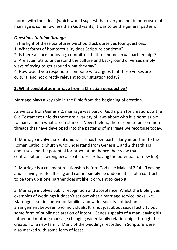'norm' with the 'ideal' (which would suggest that everyone not in heterosexual marriage is somehow less than God wants) it was to be the general pattern.

# *Questions to think through*

In the light of these Scriptures we should ask ourselves four questions.

- 1. What forms of homosexuality does Scripture condemn?
- 2. Is there a place for loving, committed, faithful, homosexual partnerships?

3. Are attempts to understand the culture and background of verses simply ways of trying to get around what they say?

4. How would you respond to someone who argues that these verses are cultural and not directly relevant to our situation today?

# **2. What constitutes marriage from a Christian perspective?**

Marriage plays a key role in the Bible from the beginning of creation.

As we saw from Genesis 2, marriage was part of God's plan for creation. As the Old Testament unfolds there are a variety of laws about who it is permissible to marry and in what circumstances. Nevertheless, there seem to be common threads that have developed into the patterns of marriage we recognise today.

1. Marriage involves sexual union. This has been particularly important to the Roman Catholic Church who understand from Genesis 1 and 2 that this is about sex and the potential for procreation (hence their view that contraception is wrong because it stops sex having the potential for new life).

2. Marriage is a covenant relationship before God (see Malachi 2:14). 'Leaving and cleaving' is life altering and cannot simply be undone; it is not a contract to be torn up if one partner doesn't like it or want to keep it.

3. Marriage involves public recognition and acceptance. Whilst the Bible gives examples of weddings it doesn't set out what a marriage service looks like. Marriage is set in context of families and wider society not just an arrangement between two individuals. It is not just about sexual activity but some form of public declaration of intent. Genesis speaks of a man leaving his father and mother; marriage changing wider family relationships through the creation of a new family. Many of the weddings recorded in Scripture were also marked with some form of feast.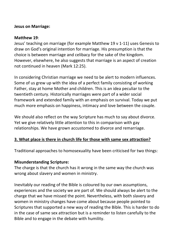#### **Jesus on Marriage:**

#### **Matthew 19**:

Jesus' teaching on marriage (for example Matthew 19 v 1-11) uses Genesis to draw on God's original intention for marriage. His presumption is that the choice is between marriage and celibacy for the sake of the kingdom. However, elsewhere, he also suggests that marriage is an aspect of creation not continued in heaven (Mark 12:25).

In considering Christian marriage we need to be alert to modern influences. Some of us grew up with the idea of a perfect family consisting of working Father, stay at home Mother and children. This is an idea peculiar to the twentieth century. Historically marriages were part of a wider social framework and extended family with an emphasis on survival. Today we put much more emphasis on happiness, intimacy and love between the couple.

We should also reflect on the way Scripture has much to say about divorce. Yet we give relatively little attention to this in comparison with gay relationships. We have grown accustomed to divorce and remarriage.

# **3. What place is there in church life for those with same sex attraction?**

Traditional approaches to homosexuality have been criticised for two things:

# **Misunderstanding Scripture:**

The charge is that the church has it wrong in the same way the church was wrong about slavery and women in ministry.

Inevitably our reading of the Bible is coloured by our own assumptions, experiences and the society we are part of. We should always be alert to the charge that we have missed the point. Nevertheless, with both slavery and women in ministry changes have come about because people pointed to Scriptures that supported a new way of reading the Bible. This is harder to do in the case of same sex attraction but is a reminder to listen carefully to the Bible and to engage in the debate with humility.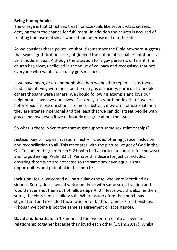#### **Being homophobic:**

The charge is that Christians treat homosexuals like second-class citizens; denying them the chance for fulfilment. In addition the church is accused of treating homosexual sin as worse than heterosexual or other sins.

As we consider these points we should remember the Bible nowhere suggests that sexual gratification is a right (indeed the notion of sexual orientation is a very modern idea). Although the situation for a gay person is different, the church has always believed in the value of celibacy and recognised that not everyone who wants to actually gets married.

If we have been, or are, homophobic then we need to repent. Jesus took a lead in identifying with those on the margins of society; particularly people others thought were sinners. We should follow his example and love our neighbour as we love ourselves. Pastorally it is worth noting that if we are heterosexual these questions are more abstract, if we are homosexual then they are intensely personal and the least that we can do is treat people with grace and love; even if we ultimately disagree about the issue.

So what is there in Scripture that might support same sex-relationships?

**Justice:** Key principles in Jesus' ministry included offering justice, inclusion and reconciliation to all. This resonates with the picture we get of God in the Old Testament (eg: Jeremiah 9:24) who had a particular concern for the weak and forgotten (eg: Psalm 82:3). Perhaps this desire for justice includes ensuring those who are attracted to the same sex have equal rights, opportunities and potential in the church?

**Inclusion:** Jesus welcomed all, particularly those who were identified as sinners. Surely, Jesus would welcome those with same sex attraction and would never shut them out of fellowship? And if Jesus would welcome them, surely the church must follow suit. Whereas too often the church has stigmatised and excluded those who enter faithful same sex relationships. (Though welcome is not the same as agreement or acceptance).

**David and Jonathan:** In 1 Samuel 20 the two entered into a covenant relationship together because they loved each other (1 Sam 20:17). Whilst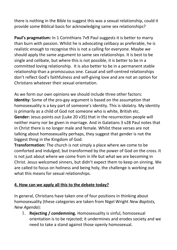there is nothing in the Bible to suggest this was a sexual relationship, could it provide some Biblical basis for acknowledging same sex relationships?

Paul's pragmatism: In 1 Corinthians 7v9 Paul suggests it is better to marry than burn with passion. Whilst he is advocating celibacy as preferable, he is realistic enough to recognise this is not a calling for everyone. Maybe we should apply the same argument to same sex relationships. It is best to be single and celibate, but where this is not possible, it is better to be in a committed loving relationship. It is also better to be in a permanent stable relationship than a promiscuous one. Casual and self-centred relationships don't reflect God's faithfulness and self-giving love and are not an option for Christians whatever their sexual orientation.

As we form our own opinions we should include three other factors: **Identity:** Some of the pro-gay argument is based on the assumption that homosexuality is a key part of someone's identity. This is idolatry. My identity is primarily as a child of God not someone who is white, British etc. **Gender:** Jesus points out (Luke 20 v35) that in the resurrection people will neither marry nor be given in marriage. And in Galatians 3 v28 Paul notes that in Christ there is no longer male and female. Whilst these verses are not talking about homosexuality perhaps, they suggest that gender is not the biggest thing in the Kingdom of God.

**Transformation:** The church is not simply a place where we come to be comforted and indulged, but transformed by the power of God on the cross. It is not just about where we come from in life but what we are becoming in Christ. Jesus welcomed sinners, but didn't expect them to keep on sinning. We are called to focus on holiness and being holy, the challenge is working out what this means for sexual relationships.

# **4. How can we apply all this to the debate today?**

In general, Christians have taken one of four positions in thinking about homosexuality (these categories are taken from Nigel Wright *New Baptists, New Agenda*):

1. **Rejecting / condemning.** Homosexuality is sinful, homosexual orientation is to be rejected; it undermines and erodes society and we need to take a stand against those openly homosexual.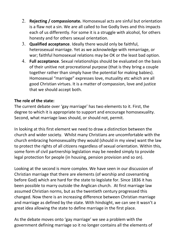- 2. **Rejecting / compassionate.** Homosexual acts are sinful but orientation is a flaw not a sin. We are all called to live Godly lives and this impacts each of us differently. For some it is a struggle with alcohol, for others honesty and for others sexual orientation.
- 3. **Qualified acceptance**. Ideally there would only be faithful, heterosexual marriage. Yet as we acknowledge with remarriage, or war; faithful homosexual relations may be OK or the least bad option.
- 4. **Full acceptance**. Sexual relationships should be evaluated on the basis of their unitive not procreational purpose (that is they bring a couple together rather than simply have the potential for making babies). Homosexual "marriage" expresses love, mutuality etc which are all good Christian virtues. It is a matter of compassion, love and justice that we should accept both.

# **The role of the state:**

The current debate over 'gay marriage' has two elements to it. First, the degree to which it is appropriate to support and encourage homosexuality. Second, what marriage laws should, or should not, permit.

In looking at this first element we need to draw a distinction between the church and wider society. Whilst many Christians are uncomfortable with the church embracing homosexuality they would (should in my view) want the law to protect the rights of all citizens regardless of sexual orientation. Within this, some form of civil partnership legislation may be needed simply to provide legal protection for people (in housing, pension provision and so on).

Looking at the second is more complex. We have seen in our discussion of Christian marriage that there are elements (of worship and covenanting before God) which are hard for the state to legislate for. Since 1836 it has been possible to marry outside the Anglican church. At first marriage law assumed Christian norms, but as the twentieth century progressed this changed. Now there is an increasing difference between Christian marriage and marriage as defined by the state. With hindsight, we can see it wasn't a great idea allowing the state to define marriage in the first place.

As the debate moves onto 'gay marriage' we see a problem with the government defining marriage so it no longer contains all the elements of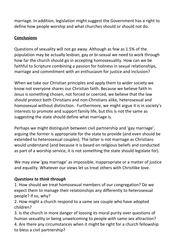marriage. In addition, legislation might suggest the Government has a right to define how people worship and what churches should or should not do.

# **Conclusions**

Questions of sexuality will not go away. Although as few as 1.5% of the population may be actually lesbian, gay or bi-sexual we need to work through how far the church should go in accepting homosexuality. How can we be faithful to Scripture combining a passion for holiness in sexual relationships, marriage and commitment with an enthusiasm for justice and inclusion?

When we take our Christian principles and apply them to wider society we know not everyone shares our Christian faith. Because we believe faith in Jesus is something chosen, not forced or coerced, we believe that the law should protect both Christians and non-Christians alike, heterosexual and homosexual without distinction. Furthermore, we might argue it is in society's interests to promote and support family life, but this is not the same as suggesting the state should define what marriage is.

Perhaps we might distinguish between civil partnership and 'gay marriage', arguing the former is appropriate for the state to provide (and even should be extended to heterosexual couples). The latter is not marriage as Christians would understand (and because it is based on religious beliefs and conducted as part of a worship service, it is not something the state should legislate for).

We may view 'gay marriage' as impossible, inappropriate or a matter of justice and equality. Whatever our views let us treat others with Christlike love.

# *Questions to think through*

1. How should we treat homosexual members of our congregation? Do we expect them to manage their relationships any differently to heterosexual people? If so, why?

2. How might a church respond to a same sex couple who have adopted children?

3. Is the church in more danger of loosing its moral purity over questions of human sexuality or being unwelcoming to people with same sex attraction? 4. Are there any circumstances when it might be right for a church fellowship to bless a civil partnership?